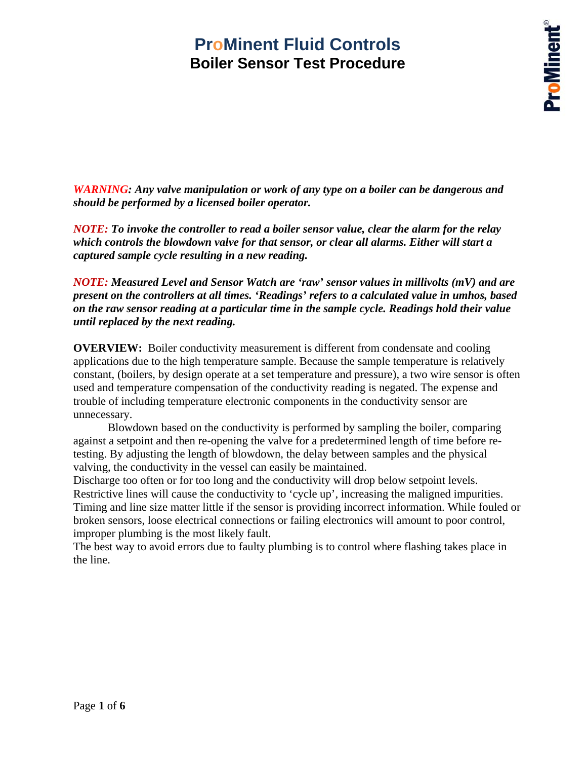*WARNING: Any valve manipulation or work of any type on a boiler can be dangerous and should be performed by a licensed boiler operator.* 

*NOTE: To invoke the controller to read a boiler sensor value, clear the alarm for the relay which controls the blowdown valve for that sensor, or clear all alarms. Either will start a captured sample cycle resulting in a new reading.* 

*NOTE: Measured Level and Sensor Watch are 'raw' sensor values in millivolts (mV) and are present on the controllers at all times. 'Readings' refers to a calculated value in umhos, based on the raw sensor reading at a particular time in the sample cycle. Readings hold their value until replaced by the next reading.* 

**OVERVIEW:** Boiler conductivity measurement is different from condensate and cooling applications due to the high temperature sample. Because the sample temperature is relatively constant, (boilers, by design operate at a set temperature and pressure), a two wire sensor is often used and temperature compensation of the conductivity reading is negated. The expense and trouble of including temperature electronic components in the conductivity sensor are unnecessary.

 Blowdown based on the conductivity is performed by sampling the boiler, comparing against a setpoint and then re-opening the valve for a predetermined length of time before retesting. By adjusting the length of blowdown, the delay between samples and the physical valving, the conductivity in the vessel can easily be maintained.

Discharge too often or for too long and the conductivity will drop below setpoint levels. Restrictive lines will cause the conductivity to 'cycle up', increasing the maligned impurities. Timing and line size matter little if the sensor is providing incorrect information. While fouled or broken sensors, loose electrical connections or failing electronics will amount to poor control, improper plumbing is the most likely fault.

The best way to avoid errors due to faulty plumbing is to control where flashing takes place in the line.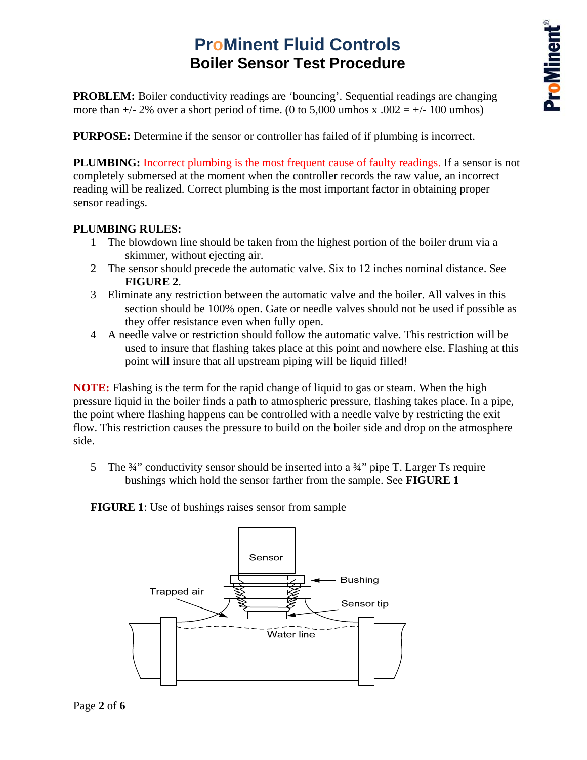**PROBLEM:** Boiler conductivity readings are 'bouncing'. Sequential readings are changing more than  $+/- 2\%$  over a short period of time. (0 to 5,000 umhos x .002 =  $+/- 100$  umhos)

**PURPOSE:** Determine if the sensor or controller has failed of if plumbing is incorrect.

**PLUMBING:** Incorrect plumbing is the most frequent cause of faulty readings. If a sensor is not completely submersed at the moment when the controller records the raw value, an incorrect reading will be realized. Correct plumbing is the most important factor in obtaining proper sensor readings.

#### **PLUMBING RULES:**

- 1 The blowdown line should be taken from the highest portion of the boiler drum via a skimmer, without ejecting air.
- 2 The sensor should precede the automatic valve. Six to 12 inches nominal distance. See **FIGURE 2**.
- 3 Eliminate any restriction between the automatic valve and the boiler. All valves in this section should be 100% open. Gate or needle valves should not be used if possible as they offer resistance even when fully open.
- 4 A needle valve or restriction should follow the automatic valve. This restriction will be used to insure that flashing takes place at this point and nowhere else. Flashing at this point will insure that all upstream piping will be liquid filled!

**NOTE:** Flashing is the term for the rapid change of liquid to gas or steam. When the high pressure liquid in the boiler finds a path to atmospheric pressure, flashing takes place. In a pipe, the point where flashing happens can be controlled with a needle valve by restricting the exit flow. This restriction causes the pressure to build on the boiler side and drop on the atmosphere side.

5 The  $\frac{3}{4}$ " conductivity sensor should be inserted into a  $\frac{3}{4}$ " pipe T. Larger Ts require bushings which hold the sensor farther from the sample. See **FIGURE 1**

**FIGURE 1**: Use of bushings raises sensor from sample

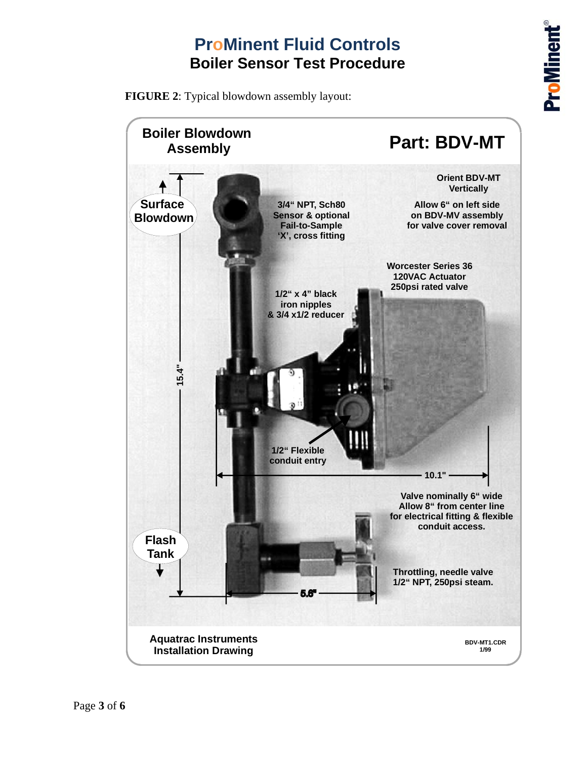**FIGURE 2**: Typical blowdown assembly layout:

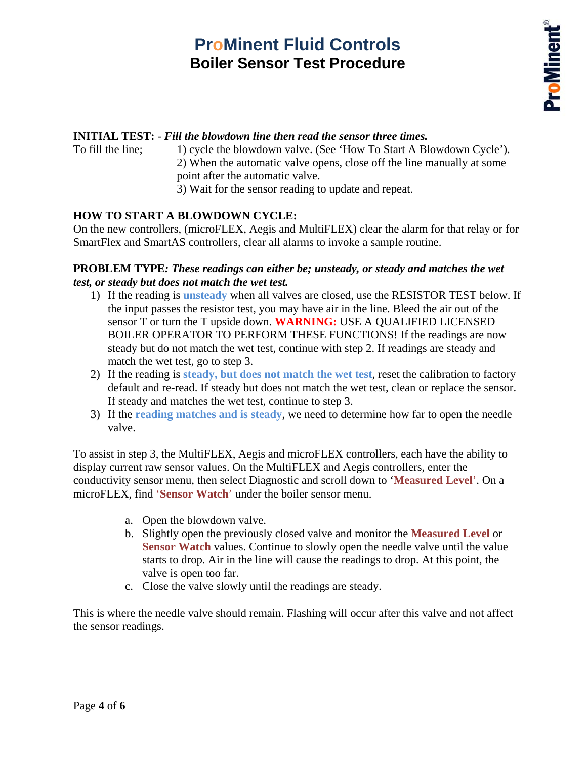#### **INITIAL TEST:** - *Fill the blowdown line then read the sensor three times.*

To fill the line; 1) cycle the blowdown valve. (See 'How To Start A Blowdown Cycle'). 2) When the automatic valve opens, close off the line manually at some point after the automatic valve. 3) Wait for the sensor reading to update and repeat.

#### **HOW TO START A BLOWDOWN CYCLE:**

On the new controllers, (microFLEX, Aegis and MultiFLEX) clear the alarm for that relay or for SmartFlex and SmartAS controllers, clear all alarms to invoke a sample routine.

#### **PROBLEM TYPE***: These readings can either be; unsteady, or steady and matches the wet test, or steady but does not match the wet test.*

- 1) If the reading is **unsteady** when all valves are closed, use the RESISTOR TEST below. If the input passes the resistor test, you may have air in the line. Bleed the air out of the sensor T or turn the T upside down. **WARNING:** USE A QUALIFIED LICENSED BOILER OPERATOR TO PERFORM THESE FUNCTIONS! If the readings are now steady but do not match the wet test, continue with step 2. If readings are steady and match the wet test, go to step 3.
- 2) If the reading is **steady, but does not match the wet test**, reset the calibration to factory default and re-read. If steady but does not match the wet test, clean or replace the sensor. If steady and matches the wet test, continue to step 3.
- 3) If the **reading matches and is steady**, we need to determine how far to open the needle valve.

To assist in step 3, the MultiFLEX, Aegis and microFLEX controllers, each have the ability to display current raw sensor values. On the MultiFLEX and Aegis controllers, enter the conductivity sensor menu, then select Diagnostic and scroll down to '**Measured Level**'. On a microFLEX, find '**Sensor Watch**' under the boiler sensor menu.

- a. Open the blowdown valve.
- b. Slightly open the previously closed valve and monitor the **Measured Level** or **Sensor Watch** values. Continue to slowly open the needle valve until the value starts to drop. Air in the line will cause the readings to drop. At this point, the valve is open too far.
- c. Close the valve slowly until the readings are steady.

This is where the needle valve should remain. Flashing will occur after this valve and not affect the sensor readings.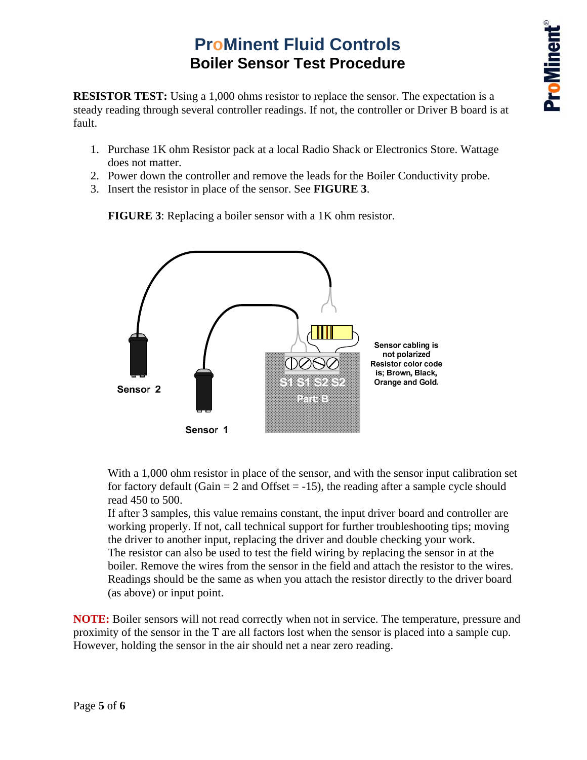**RESISTOR TEST:** Using a 1,000 ohms resistor to replace the sensor. The expectation is a steady reading through several controller readings. If not, the controller or Driver B board is at fault.

- 1. Purchase 1K ohm Resistor pack at a local Radio Shack or Electronics Store. Wattage does not matter.
- 2. Power down the controller and remove the leads for the Boiler Conductivity probe.
- 3. Insert the resistor in place of the sensor. See **FIGURE 3**.

**FIGURE 3**: Replacing a boiler sensor with a 1K ohm resistor.



With a 1,000 ohm resistor in place of the sensor, and with the sensor input calibration set for factory default (Gain  $= 2$  and Offset  $= -15$ ), the reading after a sample cycle should read 450 to 500.

If after 3 samples, this value remains constant, the input driver board and controller are working properly. If not, call technical support for further troubleshooting tips; moving the driver to another input, replacing the driver and double checking your work. The resistor can also be used to test the field wiring by replacing the sensor in at the boiler. Remove the wires from the sensor in the field and attach the resistor to the wires. Readings should be the same as when you attach the resistor directly to the driver board (as above) or input point.

**NOTE:** Boiler sensors will not read correctly when not in service. The temperature, pressure and proximity of the sensor in the T are all factors lost when the sensor is placed into a sample cup. However, holding the sensor in the air should net a near zero reading.